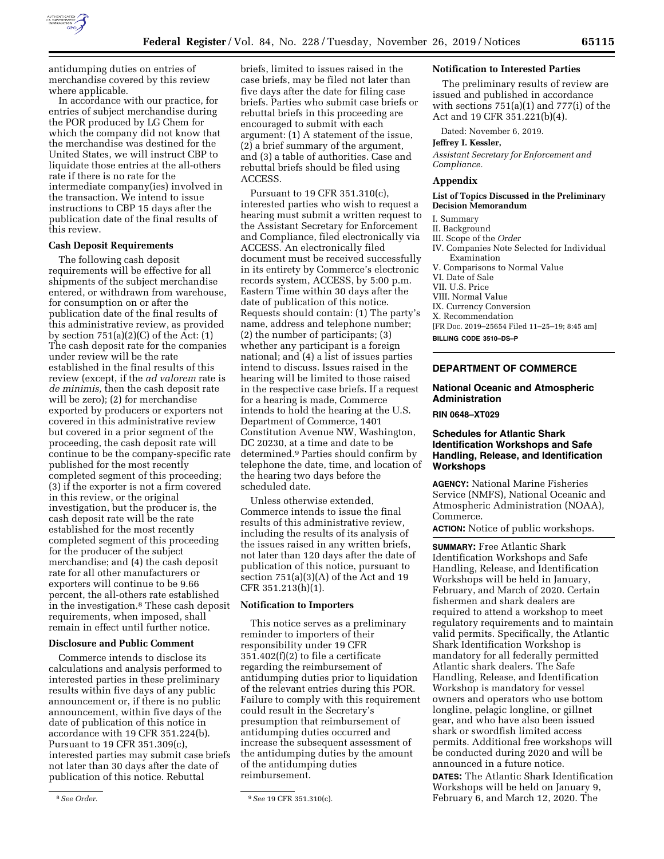

antidumping duties on entries of merchandise covered by this review where applicable.

In accordance with our practice, for entries of subject merchandise during the POR produced by LG Chem for which the company did not know that the merchandise was destined for the United States, we will instruct CBP to liquidate those entries at the all-others rate if there is no rate for the intermediate company(ies) involved in the transaction. We intend to issue instructions to CBP 15 days after the publication date of the final results of this review.

## **Cash Deposit Requirements**

The following cash deposit requirements will be effective for all shipments of the subject merchandise entered, or withdrawn from warehouse, for consumption on or after the publication date of the final results of this administrative review, as provided by section  $751(a)(2)(C)$  of the Act:  $(1)$ The cash deposit rate for the companies under review will be the rate established in the final results of this review (except, if the *ad valorem* rate is *de minimis,* then the cash deposit rate will be zero); (2) for merchandise exported by producers or exporters not covered in this administrative review but covered in a prior segment of the proceeding, the cash deposit rate will continue to be the company-specific rate published for the most recently completed segment of this proceeding; (3) if the exporter is not a firm covered in this review, or the original investigation, but the producer is, the cash deposit rate will be the rate established for the most recently completed segment of this proceeding for the producer of the subject merchandise; and (4) the cash deposit rate for all other manufacturers or exporters will continue to be 9.66 percent, the all-others rate established in the investigation.8 These cash deposit requirements, when imposed, shall remain in effect until further notice.

## **Disclosure and Public Comment**

Commerce intends to disclose its calculations and analysis performed to interested parties in these preliminary results within five days of any public announcement or, if there is no public announcement, within five days of the date of publication of this notice in accordance with 19 CFR 351.224(b). Pursuant to 19 CFR 351.309(c), interested parties may submit case briefs not later than 30 days after the date of publication of this notice. Rebuttal

briefs, limited to issues raised in the case briefs, may be filed not later than five days after the date for filing case briefs. Parties who submit case briefs or rebuttal briefs in this proceeding are encouraged to submit with each argument: (1) A statement of the issue, (2) a brief summary of the argument, and (3) a table of authorities. Case and rebuttal briefs should be filed using ACCESS.

Pursuant to 19 CFR 351.310(c), interested parties who wish to request a hearing must submit a written request to the Assistant Secretary for Enforcement and Compliance, filed electronically via ACCESS. An electronically filed document must be received successfully in its entirety by Commerce's electronic records system, ACCESS, by 5:00 p.m. Eastern Time within 30 days after the date of publication of this notice. Requests should contain: (1) The party's name, address and telephone number; (2) the number of participants; (3) whether any participant is a foreign national; and (4) a list of issues parties intend to discuss. Issues raised in the hearing will be limited to those raised in the respective case briefs. If a request for a hearing is made, Commerce intends to hold the hearing at the U.S. Department of Commerce, 1401 Constitution Avenue NW, Washington, DC 20230, at a time and date to be determined.9 Parties should confirm by telephone the date, time, and location of the hearing two days before the scheduled date.

Unless otherwise extended, Commerce intends to issue the final results of this administrative review, including the results of its analysis of the issues raised in any written briefs, not later than 120 days after the date of publication of this notice, pursuant to section 751(a)(3)(A) of the Act and 19 CFR 351.213(h)(1).

## **Notification to Importers**

This notice serves as a preliminary reminder to importers of their responsibility under 19 CFR  $351.402(f)(2)$  to file a certificate regarding the reimbursement of antidumping duties prior to liquidation of the relevant entries during this POR. Failure to comply with this requirement could result in the Secretary's presumption that reimbursement of antidumping duties occurred and increase the subsequent assessment of the antidumping duties by the amount of the antidumping duties reimbursement.

#### **Notification to Interested Parties**

The preliminary results of review are issued and published in accordance with sections  $751(a)(1)$  and  $777(i)$  of the Act and 19 CFR 351.221(b)(4).

Dated: November 6, 2019.

## **Jeffrey I. Kessler,**

*Assistant Secretary for Enforcement and Compliance.* 

#### **Appendix**

#### **List of Topics Discussed in the Preliminary Decision Memorandum**

#### I. Summary

II. Background

III. Scope of the *Order* 

- IV. Companies Note Selected for Individual Examination
- V. Comparisons to Normal Value
- VI. Date of Sale
- VII. U.S. Price
- VIII. Normal Value
- IX. Currency Conversion
- X. Recommendation

[FR Doc. 2019–25654 Filed 11–25–19; 8:45 am]

**BILLING CODE 3510–DS–P** 

# **DEPARTMENT OF COMMERCE**

# **National Oceanic and Atmospheric Administration**

**RIN 0648–XT029** 

# **Schedules for Atlantic Shark Identification Workshops and Safe Handling, Release, and Identification Workshops**

**AGENCY:** National Marine Fisheries Service (NMFS), National Oceanic and Atmospheric Administration (NOAA), Commerce.

**ACTION:** Notice of public workshops.

**SUMMARY:** Free Atlantic Shark Identification Workshops and Safe Handling, Release, and Identification Workshops will be held in January, February, and March of 2020. Certain fishermen and shark dealers are required to attend a workshop to meet regulatory requirements and to maintain valid permits. Specifically, the Atlantic Shark Identification Workshop is mandatory for all federally permitted Atlantic shark dealers. The Safe Handling, Release, and Identification Workshop is mandatory for vessel owners and operators who use bottom longline, pelagic longline, or gillnet gear, and who have also been issued shark or swordfish limited access permits. Additional free workshops will be conducted during 2020 and will be announced in a future notice.

**DATES:** The Atlantic Shark Identification Workshops will be held on January 9, February 6, and March 12, 2020. The

<sup>8</sup>*See Order.* 9*See* 19 CFR 351.310(c).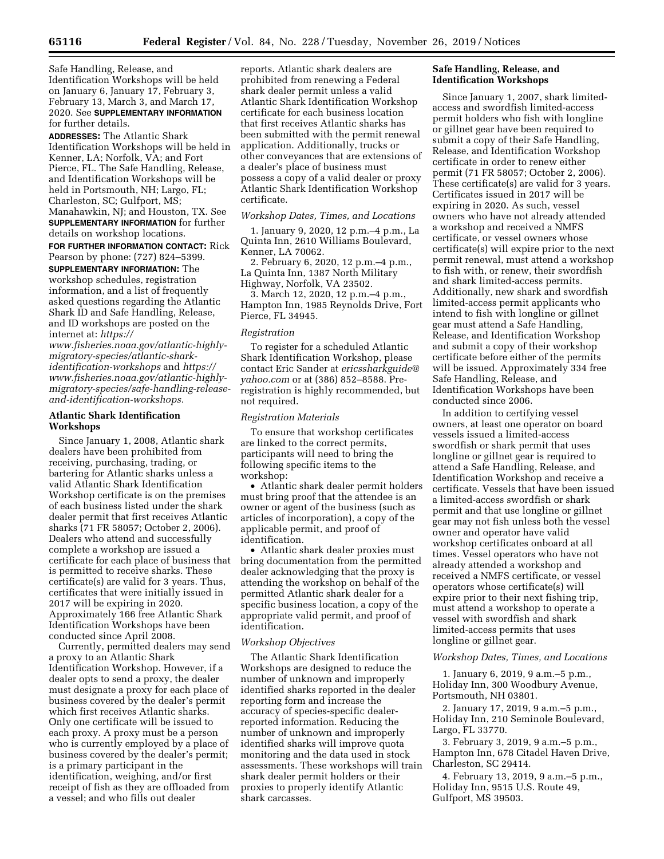Safe Handling, Release, and Identification Workshops will be held on January 6, January 17, February 3, February 13, March 3, and March 17, 2020. See **SUPPLEMENTARY INFORMATION** for further details.

**ADDRESSES:** The Atlantic Shark Identification Workshops will be held in Kenner, LA; Norfolk, VA; and Fort Pierce, FL. The Safe Handling, Release, and Identification Workshops will be held in Portsmouth, NH; Largo, FL; Charleston, SC; Gulfport, MS; Manahawkin, NJ; and Houston, TX. See **SUPPLEMENTARY INFORMATION** for further details on workshop locations.

**FOR FURTHER INFORMATION CONTACT:** Rick Pearson by phone: (727) 824–5399. **SUPPLEMENTARY INFORMATION:** The workshop schedules, registration information, and a list of frequently asked questions regarding the Atlantic Shark ID and Safe Handling, Release, and ID workshops are posted on the internet at: *[https://](https://www.fisheries.noaa.gov/atlantic-highly-migratory-species/atlantic-shark-identification-workshops)*

*[www.fisheries.noaa.gov/atlantic-highly](https://www.fisheries.noaa.gov/atlantic-highly-migratory-species/atlantic-shark-identification-workshops)[migratory-species/atlantic-shark](https://www.fisheries.noaa.gov/atlantic-highly-migratory-species/atlantic-shark-identification-workshops)[identification-workshops](https://www.fisheries.noaa.gov/atlantic-highly-migratory-species/atlantic-shark-identification-workshops)* and *[https://](https://www.fisheries.noaa.gov/atlantic-highly-migratory-species/safe-handling-release-and-identification-workshops) [www.fisheries.noaa.gov/atlantic-highly](https://www.fisheries.noaa.gov/atlantic-highly-migratory-species/safe-handling-release-and-identification-workshops)[migratory-species/safe-handling-release](https://www.fisheries.noaa.gov/atlantic-highly-migratory-species/safe-handling-release-and-identification-workshops)[and-identification-workshops.](https://www.fisheries.noaa.gov/atlantic-highly-migratory-species/safe-handling-release-and-identification-workshops)* 

## **Atlantic Shark Identification Workshops**

Since January 1, 2008, Atlantic shark dealers have been prohibited from receiving, purchasing, trading, or bartering for Atlantic sharks unless a valid Atlantic Shark Identification Workshop certificate is on the premises of each business listed under the shark dealer permit that first receives Atlantic sharks (71 FR 58057; October 2, 2006). Dealers who attend and successfully complete a workshop are issued a certificate for each place of business that is permitted to receive sharks. These certificate(s) are valid for 3 years. Thus, certificates that were initially issued in 2017 will be expiring in 2020. Approximately 166 free Atlantic Shark Identification Workshops have been conducted since April 2008.

Currently, permitted dealers may send a proxy to an Atlantic Shark Identification Workshop. However, if a dealer opts to send a proxy, the dealer must designate a proxy for each place of business covered by the dealer's permit which first receives Atlantic sharks. Only one certificate will be issued to each proxy. A proxy must be a person who is currently employed by a place of business covered by the dealer's permit; is a primary participant in the identification, weighing, and/or first receipt of fish as they are offloaded from a vessel; and who fills out dealer

reports. Atlantic shark dealers are prohibited from renewing a Federal shark dealer permit unless a valid Atlantic Shark Identification Workshop certificate for each business location that first receives Atlantic sharks has been submitted with the permit renewal application. Additionally, trucks or other conveyances that are extensions of a dealer's place of business must possess a copy of a valid dealer or proxy Atlantic Shark Identification Workshop certificate.

# *Workshop Dates, Times, and Locations*

1. January 9, 2020, 12 p.m.–4 p.m., La Quinta Inn, 2610 Williams Boulevard, Kenner, LA 70062.

2. February 6, 2020, 12 p.m.–4 p.m., La Quinta Inn, 1387 North Military Highway, Norfolk, VA 23502.

3. March 12, 2020, 12 p.m.–4 p.m., Hampton Inn, 1985 Reynolds Drive, Fort Pierce, FL 34945.

## *Registration*

To register for a scheduled Atlantic Shark Identification Workshop, please contact Eric Sander at *[ericssharkguide@](mailto:ericssharkguide@yahoo.com) [yahoo.com](mailto:ericssharkguide@yahoo.com)* or at (386) 852–8588. Preregistration is highly recommended, but not required.

#### *Registration Materials*

To ensure that workshop certificates are linked to the correct permits, participants will need to bring the following specific items to the workshop:

• Atlantic shark dealer permit holders must bring proof that the attendee is an owner or agent of the business (such as articles of incorporation), a copy of the applicable permit, and proof of identification.

• Atlantic shark dealer proxies must bring documentation from the permitted dealer acknowledging that the proxy is attending the workshop on behalf of the permitted Atlantic shark dealer for a specific business location, a copy of the appropriate valid permit, and proof of identification.

#### *Workshop Objectives*

The Atlantic Shark Identification Workshops are designed to reduce the number of unknown and improperly identified sharks reported in the dealer reporting form and increase the accuracy of species-specific dealerreported information. Reducing the number of unknown and improperly identified sharks will improve quota monitoring and the data used in stock assessments. These workshops will train shark dealer permit holders or their proxies to properly identify Atlantic shark carcasses.

# **Safe Handling, Release, and Identification Workshops**

Since January 1, 2007, shark limitedaccess and swordfish limited-access permit holders who fish with longline or gillnet gear have been required to submit a copy of their Safe Handling, Release, and Identification Workshop certificate in order to renew either permit (71 FR 58057; October 2, 2006). These certificate(s) are valid for 3 years. Certificates issued in 2017 will be expiring in 2020. As such, vessel owners who have not already attended a workshop and received a NMFS certificate, or vessel owners whose certificate(s) will expire prior to the next permit renewal, must attend a workshop to fish with, or renew, their swordfish and shark limited-access permits. Additionally, new shark and swordfish limited-access permit applicants who intend to fish with longline or gillnet gear must attend a Safe Handling, Release, and Identification Workshop and submit a copy of their workshop certificate before either of the permits will be issued. Approximately 334 free Safe Handling, Release, and Identification Workshops have been conducted since 2006.

In addition to certifying vessel owners, at least one operator on board vessels issued a limited-access swordfish or shark permit that uses longline or gillnet gear is required to attend a Safe Handling, Release, and Identification Workshop and receive a certificate. Vessels that have been issued a limited-access swordfish or shark permit and that use longline or gillnet gear may not fish unless both the vessel owner and operator have valid workshop certificates onboard at all times. Vessel operators who have not already attended a workshop and received a NMFS certificate, or vessel operators whose certificate(s) will expire prior to their next fishing trip, must attend a workshop to operate a vessel with swordfish and shark limited-access permits that uses longline or gillnet gear.

## *Workshop Dates, Times, and Locations*

1. January 6, 2019, 9 a.m.–5 p.m., Holiday Inn, 300 Woodbury Avenue, Portsmouth, NH 03801.

2. January 17, 2019, 9 a.m.–5 p.m., Holiday Inn, 210 Seminole Boulevard, Largo, FL 33770.

3. February 3, 2019, 9 a.m.–5 p.m., Hampton Inn, 678 Citadel Haven Drive, Charleston, SC 29414.

4. February 13, 2019, 9 a.m.–5 p.m., Holiday Inn, 9515 U.S. Route 49, Gulfport, MS 39503.